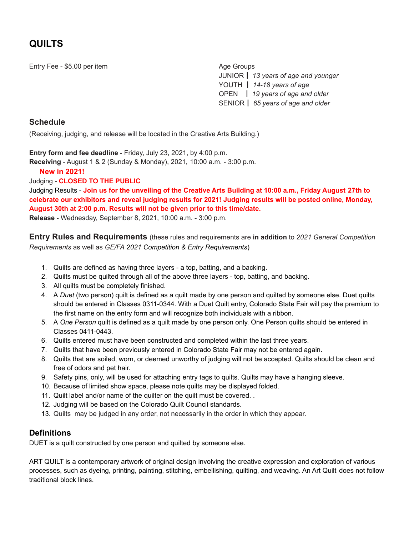# **QUILTS**

Entry Fee - \$5.00 per item Age Groups Age Groups

JUNIOR┃ *13 years of age and younger* YOUTH ┃ *14-18 years of age* OPEN ┃ *19 years of age and older* SENIOR┃ *65 years of age and older*

### **Schedule**

(Receiving, judging, and release will be located in the Creative Arts Building.)

**Entry form and fee deadline** - Friday, July 23, 2021, by 4:00 p.m.

**Receiving** - August 1 & 2 (Sunday & Monday), 2021, 10:00 a.m. - 3:00 p.m.

### **New in 2021!**

Judging - **CLOSED TO THE PUBLIC**

Judging Results - Join us for the unveiling of the Creative Arts Building at 10:00 a.m., Friday August 27th to **celebrate our exhibitors and reveal judging results for 2021! Judging results will be posted online, Monday, August 30th at 2:00 p.m. Results will not be given prior to this time/date.**

**Release** - Wednesday, September 8, 2021, 10:00 a.m. - 3:00 p.m.

**Entry Rules and Requirements** (these rules and requirements are **in addition** to *2021 General Competition Requirements* as well as *GE/FA 2021 Competition & Entry Requirements*)

- 1. Quilts are defined as having three layers a top, batting, and a backing.
- 2. Quilts must be quilted through all of the above three layers top, batting, and backing.
- 3. All quilts must be completely finished.
- 4. A *Duet* (two person) quilt is defined as a quilt made by one person and quilted by someone else. Duet quilts should be entered in Classes 0311-0344. With a Duet Quilt entry, Colorado State Fair will pay the premium to the first name on the entry form and will recognize both individuals with a ribbon.
- 5. A *One Person* quilt is defined as a quilt made by one person only. One Person quilts should be entered in Classes 0411-0443.
- 6. Quilts entered must have been constructed and completed within the last three years.
- 7. Quilts that have been previously entered in Colorado State Fair may not be entered again.
- 8. Quilts that are soiled, worn, or deemed unworthy of judging will not be accepted. Quilts should be clean and free of odors and pet hair.
- 9. Safety pins, only, will be used for attaching entry tags to quilts. Quilts may have a hanging sleeve.
- 10. Because of limited show space, please note quilts may be displayed folded.
- 11. Quilt label and/or name of the quilter on the quilt must be covered..
- 12. Judging will be based on the Colorado Quilt Council standards.
- 13. Quilts may be judged in any order, not necessarily in the order in which they appear.

### **Definitions**

DUET is a quilt constructed by one person and quilted by someone else.

ART QUILT is a contemporary artwork of original design involving the creative expression and exploration of various processes, such as dyeing, printing, painting, stitching, embellishing, quilting, and weaving. An Art Quilt does not follow traditional block lines.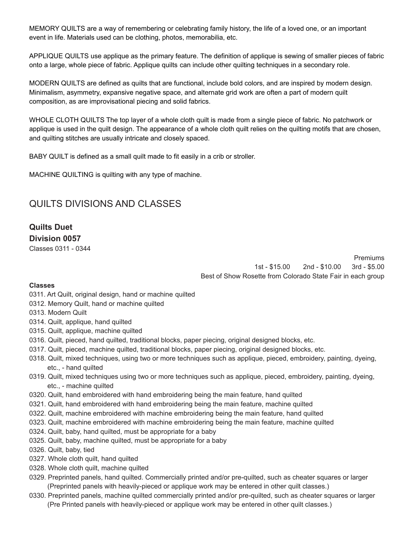MEMORY QUILTS are a way of remembering or celebrating family history, the life of a loved one, or an important event in life. Materials used can be clothing, photos, memorabilia, etc.

APPLIQUE QUILTS use applique as the primary feature. The definition of applique is sewing of smaller pieces of fabric onto a large, whole piece of fabric. Applique quilts can include other quilting techniques in a secondary role.

MODERN QUILTS are defined as quilts that are functional, include bold colors, and are inspired by modern design. Minimalism, asymmetry, expansive negative space, and alternate grid work are often a part of modern quilt composition, as are improvisational piecing and solid fabrics.

WHOLE CLOTH QUILTS The top layer of a whole cloth quilt is made from a single piece of fabric. No patchwork or applique is used in the quilt design. The appearance of a whole cloth quilt relies on the quilting motifs that are chosen, and quilting stitches are usually intricate and closely spaced.

BABY QUILT is defined as a small quilt made to fit easily in a crib or stroller.

MACHINE QUILTING is quilting with any type of machine.

# QUILTS DIVISIONS AND CLASSES

## **Quilts Duet Division 0057**

Classes 0311 - 0344

Premiums 1st - \$15.00 2nd - \$10.00 3rd - \$5.00 Best of Show Rosette from Colorado State Fair in each group

#### **Classes**

- 0311. Art Quilt, original design, hand or machine quilted
- 0312. Memory Quilt, hand or machine quilted
- 0313. Modern Quilt
- 0314. Quilt, applique, hand quilted
- 0315. Quilt, applique, machine quilted
- 0316. Quilt, pieced, hand quilted, traditional blocks, paper piecing, original designed blocks, etc.
- 0317. Quilt, pieced, machine quilted, traditional blocks, paper piecing, original designed blocks, etc.
- 0318. Quilt, mixed techniques, using two or more techniques such as applique, pieced, embroidery, painting, dyeing, etc., - hand quilted
- 0319. Quilt, mixed techniques using two or more techniques such as applique, pieced, embroidery, painting, dyeing, etc., - machine quilted
- 0320. Quilt, hand embroidered with hand embroidering being the main feature, hand quilted
- 0321. Quilt, hand embroidered with hand embroidering being the main feature, machine quilted
- 0322. Quilt, machine embroidered with machine embroidering being the main feature, hand quilted
- 0323. Quilt, machine embroidered with machine embroidering being the main feature, machine quilted
- 0324. Quilt, baby, hand quilted, must be appropriate for a baby
- 0325. Quilt, baby, machine quilted, must be appropriate for a baby
- 0326. Quilt, baby, tied
- 0327. Whole cloth quilt, hand quilted
- 0328. Whole cloth quilt, machine quilted
- 0329. Preprinted panels, hand quilted. Commercially printed and/or pre-quilted, such as cheater squares or larger (Preprinted panels with heavily-pieced or applique work may be entered in other quilt classes.)
- 0330. Preprinted panels, machine quilted commercially printed and/or pre-quilted, such as cheater squares or larger (Pre Printed panels with heavily-pieced or applique work may be entered in other quilt classes.)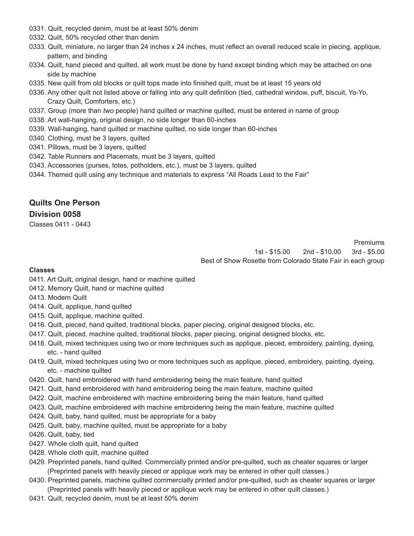- 0331. Quilt, recycled denim, must be at least 50% denim
- 0332. Quilt, 50% recycled other than denim
- 0333. Quilt, miniature, no larger than 24 inches x 24 inches, must reflect an overall reduced scale in piecing, applique, pattern, and binding
- 0334. Quilt, hand pieced and quilted, all work must be done by hand except binding which may be attached on one side by machine
- 0335. New quilt from old blocks or quilt tops made into finished quilt, must be at least 15 years old
- 0336. Any other quilt not listed above or falling into any quilt definition (tied, cathedral window, puff, biscuit, Yo-Yo, Crazy Quilt, Comforters, etc.)
- 0337. Group (more than *two* people) hand quilted or machine quilted, must be entered in name of group
- 0338. Art wall-hanging, original design, no side longer than 60-inches
- 0339. Wall-hanging, hand quilted or machine quilted, no side longer than 60-inches
- 0340. Clothing, must be 3 layers, quilted
- 0341. Pillows, must be 3 layers, quilted
- 0342. Table Runners and Placemats, must be 3 layers, quilted
- 0343. Accessories (purses, totes, potholders, etc.), must be 3 layers, quilted
- 0344. Themed quilt using any technique and materials to express "All Roads Lead to the Fair"

## **Quilts One Person Division 0058**

Classes 0411 - 0443

Premiums 1st - \$15.00 2nd - \$10.00 3rd - \$5.00 Best of Show Rosette from Colorado State Fair in each group

#### **Classes**

- 0411. Art Quilt, original design, hand or machine quilted
- 0412. Memory Quilt, hand or machine quilted
- 0413. Modern Quilt
- 0414. Quilt, applique, hand quilted
- 0415. Quilt, applique, machine quilted.
- 0416. Quilt, pieced, hand quilted, traditional blocks, paper piecing, original designed blocks, etc.
- 0417. Quilt, pieced, machine quilted, traditional blocks, paper piecing, original designed blocks, etc.
- 0418. Quilt, mixed techniques using two or more techniques such as applique, pieced, embroidery, painting, dyeing, etc. - hand quilted
- 0419. Quilt, mixed techniques using two or more techniques such as applique, pieced, embroidery, painting, dyeing, etc. - machine quilted
- 0420. Quilt, hand embroidered with hand embroidering being the main feature, hand quilted
- 0421. Quilt, hand embroidered with hand embroidering being the main feature, machine quilted
- 0422. Quilt, machine embroidered with machine embroidering being the main feature, hand quilted
- 0423. Quilt, machine embroidered with machine embroidering being the main feature, machine quilted
- 0424. Quilt, baby, hand quilted, must be appropriate for a baby
- 0425. Quilt, baby, machine quilted, must be appropriate for a baby
- 0426. Quilt, baby, tied
- 0427. Whole cloth quilt, hand quilted
- 0428. Whole cloth quilt, machine quilted
- 0429. Preprinted panels, hand quilted. Commercially printed and/or pre-quilted, such as cheater squares or larger (Preprinted panels with heavily pieced or applique work may be entered in other quilt classes.)
- 0430. Preprinted panels, machine quilted commercially printed and/or pre-quilted, such as cheater squares or larger (Preprinted panels with heavily pieced or applique work may be entered in other quilt classes.)
- 0431. Quilt, recycled denim, must be at least 50% denim